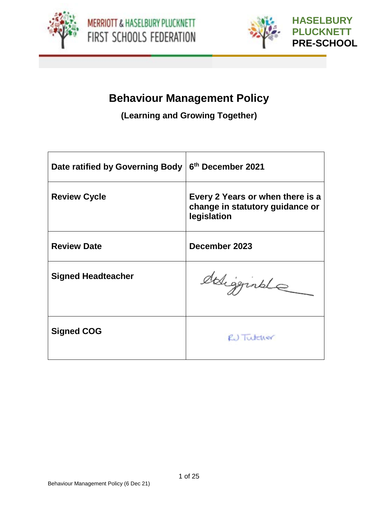



# **Behaviour Management Policy**

**(Learning and Growing Together)**

| Date ratified by Governing Body | 6 <sup>th</sup> December 2021                                                      |
|---------------------------------|------------------------------------------------------------------------------------|
| <b>Review Cycle</b>             | Every 2 Years or when there is a<br>change in statutory guidance or<br>legislation |
| <b>Review Date</b>              | December 2023                                                                      |
| <b>Signed Headteacher</b>       | deligginale                                                                        |
| <b>Signed COG</b>               | RJ Tutcher                                                                         |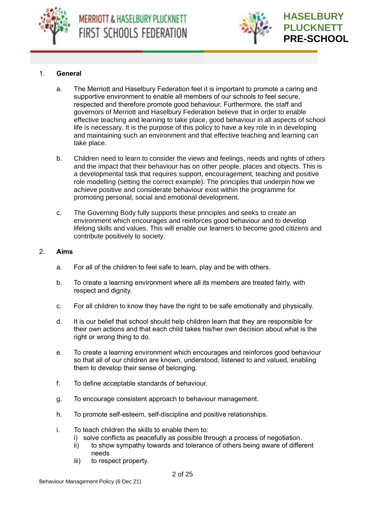



#### 1. **General**

- a. The Merriott and Haselbury Federation feel it is important to promote a caring and supportive environment to enable all members of our schools to feel secure, respected and therefore promote good behaviour. Furthermore, the staff and governors of Merriott and Haselbury Federation believe that in order to enable effective teaching and learning to take place, good behaviour in all aspects of school life is necessary. It is the purpose of this policy to have a key role in in developing and maintaining such an environment and that effective teaching and learning can take place.
- b. Children need to learn to consider the views and feelings, needs and rights of others and the impact that their behaviour has on other people, places and objects. This is a developmental task that requires support, encouragement, teaching and positive role modelling (setting the correct example). The principles that underpin how we achieve positive and considerate behaviour exist within the programme for promoting personal, social and emotional development.
- c. The Governing Body fully supports these principles and seeks to create an environment which encourages and reinforces good behaviour and to develop lifelong skills and values. This will enable our learners to become good citizens and contribute positively to society.

#### 2. **Aims**

- a. For all of the children to feel safe to learn, play and be with others.
- b. To create a learning environment where all its members are treated fairly, with respect and dignity.
- c. For all children to know they have the right to be safe emotionally and physically.
- d. It is our belief that school should help children learn that they are responsible for their own actions and that each child takes his/her own decision about what is the right or wrong thing to do.
- e. To create a learning environment which encourages and reinforces good behaviour so that all of our children are known, understood, listened to and valued, enabling them to develop their sense of belonging.
- f. To define acceptable standards of behaviour.
- g. To encourage consistent approach to behaviour management.
- h. To promote self-esteem, self-discipline and positive relationships.
- i. To teach children the skills to enable them to:
	- i) solve conflicts as peacefully as possible through a process of negotiation.
	- ii) to show sympathy towards and tolerance of others being aware of different needs
	- iii) to respect property.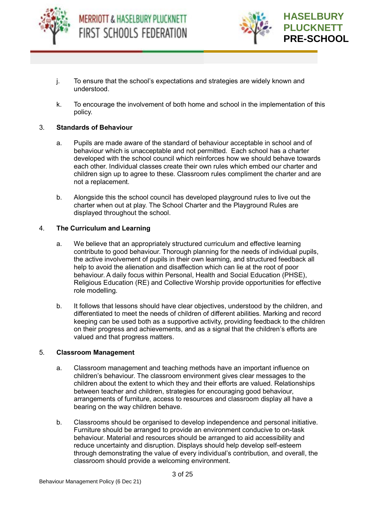



- j. To ensure that the school's expectations and strategies are widely known and understood.
- k. To encourage the involvement of both home and school in the implementation of this policy.

#### 3. **Standards of Behaviour**

- a. Pupils are made aware of the standard of behaviour acceptable in school and of behaviour which is unacceptable and not permitted. Each school has a charter developed with the school council which reinforces how we should behave towards each other. Individual classes create their own rules which embed our charter and children sign up to agree to these. Classroom rules compliment the charter and are not a replacement.
- b. Alongside this the school council has developed playground rules to live out the charter when out at play. The School Charter and the Playground Rules are displayed throughout the school.

#### 4. **The Curriculum and Learning**

- a. We believe that an appropriately structured curriculum and effective learning contribute to good behaviour. Thorough planning for the needs of individual pupils, the active involvement of pupils in their own learning, and structured feedback all help to avoid the alienation and disaffection which can lie at the root of poor behaviour. A daily focus within Personal, Health and Social Education (PHSE), Religious Education (RE) and Collective Worship provide opportunities for effective role modelling.
- b. It follows that lessons should have clear objectives, understood by the children, and differentiated to meet the needs of children of different abilities. Marking and record keeping can be used both as a supportive activity, providing feedback to the children on their progress and achievements, and as a signal that the children's efforts are valued and that progress matters.

#### 5. **Classroom Management**

- a. Classroom management and teaching methods have an important influence on children's behaviour. The classroom environment gives clear messages to the children about the extent to which they and their efforts are valued. Relationships between teacher and children, strategies for encouraging good behaviour, arrangements of furniture, access to resources and classroom display all have a bearing on the way children behave.
- b. Classrooms should be organised to develop independence and personal initiative. Furniture should be arranged to provide an environment conducive to on-task behaviour. Material and resources should be arranged to aid accessibility and reduce uncertainty and disruption. Displays should help develop self-esteem through demonstrating the value of every individual's contribution, and overall, the classroom should provide a welcoming environment.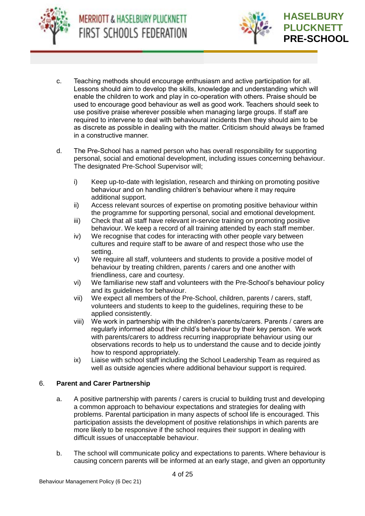



- c. Teaching methods should encourage enthusiasm and active participation for all. Lessons should aim to develop the skills, knowledge and understanding which will enable the children to work and play in co-operation with others. Praise should be used to encourage good behaviour as well as good work. Teachers should seek to use positive praise wherever possible when managing large groups. If staff are required to intervene to deal with behavioural incidents then they should aim to be as discrete as possible in dealing with the matter. Criticism should always be framed in a constructive manner.
- d. The Pre-School has a named person who has overall responsibility for supporting personal, social and emotional development, including issues concerning behaviour. The designated Pre-School Supervisor will;
	- i) Keep up-to-date with legislation, research and thinking on promoting positive behaviour and on handling children's behaviour where it may require additional support.
	- ii) Access relevant sources of expertise on promoting positive behaviour within the programme for supporting personal, social and emotional development.
	- iii) Check that all staff have relevant in-service training on promoting positive behaviour. We keep a record of all training attended by each staff member.
	- iv) We recognise that codes for interacting with other people vary between cultures and require staff to be aware of and respect those who use the setting.
	- v) We require all staff, volunteers and students to provide a positive model of behaviour by treating children, parents / carers and one another with friendliness, care and courtesy.
	- vi) We familiarise new staff and volunteers with the Pre-School's behaviour policy and its guidelines for behaviour.
	- vii) We expect all members of the Pre-School, children, parents / carers, staff, volunteers and students to keep to the guidelines, requiring these to be applied consistently.
	- viii) We work in partnership with the children's parents/carers. Parents / carers are regularly informed about their child's behaviour by their key person. We work with parents/carers to address recurring inappropriate behaviour using our observations records to help us to understand the cause and to decide jointly how to respond appropriately.
	- ix) Liaise with school staff including the School Leadership Team as required as well as outside agencies where additional behaviour support is required.

#### 6. **Parent and Carer Partnership**

- a. A positive partnership with parents / carers is crucial to building trust and developing a common approach to behaviour expectations and strategies for dealing with problems. Parental participation in many aspects of school life is encouraged. This participation assists the development of positive relationships in which parents are more likely to be responsive if the school requires their support in dealing with difficult issues of unacceptable behaviour.
- b. The school will communicate policy and expectations to parents. Where behaviour is causing concern parents will be informed at an early stage, and given an opportunity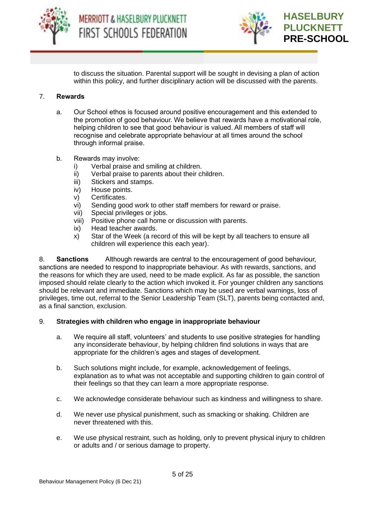



to discuss the situation. Parental support will be sought in devising a plan of action within this policy, and further disciplinary action will be discussed with the parents.

#### 7. **Rewards**

- a. Our School ethos is focused around positive encouragement and this extended to the promotion of good behaviour. We believe that rewards have a motivational role, helping children to see that good behaviour is valued. All members of staff will recognise and celebrate appropriate behaviour at all times around the school through informal praise.
- b. Rewards may involve:
	- i) Verbal praise and smiling at children.
	- ii) Verbal praise to parents about their children.
	- iii) Stickers and stamps.
	- iv) House points.
	- v) Certificates.
	- vi) Sending good work to other staff members for reward or praise.
	- vii) Special privileges or jobs.
	- viii) Positive phone call home or discussion with parents.
	- ix) Head teacher awards.
	- x) Star of the Week (a record of this will be kept by all teachers to ensure all children will experience this each year).

8. **Sanctions** Although rewards are central to the encouragement of good behaviour, sanctions are needed to respond to inappropriate behaviour. As with rewards, sanctions, and the reasons for which they are used, need to be made explicit. As far as possible, the sanction imposed should relate clearly to the action which invoked it. For younger children any sanctions should be relevant and immediate. Sanctions which may be used are verbal warnings, loss of privileges, time out, referral to the Senior Leadership Team (SLT), parents being contacted and, as a final sanction, exclusion.

#### 9. **Strategies with children who engage in inappropriate behaviour**

- a. We require all staff, volunteers' and students to use positive strategies for handling any inconsiderate behaviour, by helping children find solutions in ways that are appropriate for the children's ages and stages of development.
- b. Such solutions might include, for example, acknowledgement of feelings, explanation as to what was not acceptable and supporting children to gain control of their feelings so that they can learn a more appropriate response.
- c. We acknowledge considerate behaviour such as kindness and willingness to share.
- d. We never use physical punishment, such as smacking or shaking. Children are never threatened with this.
- e. We use physical restraint, such as holding, only to prevent physical injury to children or adults and / or serious damage to property.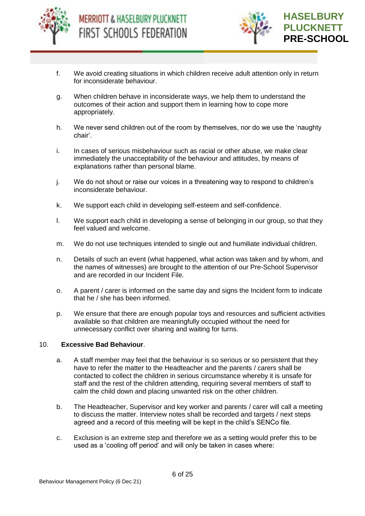



- f. We avoid creating situations in which children receive adult attention only in return for inconsiderate behaviour.
- g. When children behave in inconsiderate ways, we help them to understand the outcomes of their action and support them in learning how to cope more appropriately.
- h. We never send children out of the room by themselves, nor do we use the 'naughty chair'.
- i. In cases of serious misbehaviour such as racial or other abuse, we make clear immediately the unacceptability of the behaviour and attitudes, by means of explanations rather than personal blame.
- j. We do not shout or raise our voices in a threatening way to respond to children's inconsiderate behaviour.
- k. We support each child in developing self-esteem and self-confidence.
- l. We support each child in developing a sense of belonging in our group, so that they feel valued and welcome.
- m. We do not use techniques intended to single out and humiliate individual children.
- n. Details of such an event (what happened, what action was taken and by whom, and the names of witnesses) are brought to the attention of our Pre-School Supervisor and are recorded in our Incident File.
- o. A parent / carer is informed on the same day and signs the Incident form to indicate that he / she has been informed.
- p. We ensure that there are enough popular toys and resources and sufficient activities available so that children are meaningfully occupied without the need for unnecessary conflict over sharing and waiting for turns.

#### 10. **Excessive Bad Behaviour**.

- a. A staff member may feel that the behaviour is so serious or so persistent that they have to refer the matter to the Headteacher and the parents / carers shall be contacted to collect the children in serious circumstance whereby it is unsafe for staff and the rest of the children attending, requiring several members of staff to calm the child down and placing unwanted risk on the other children.
- b. The Headteacher, Supervisor and key worker and parents / carer will call a meeting to discuss the matter. Interview notes shall be recorded and targets / next steps agreed and a record of this meeting will be kept in the child's SENCo file.
- c. Exclusion is an extreme step and therefore we as a setting would prefer this to be used as a 'cooling off period' and will only be taken in cases where: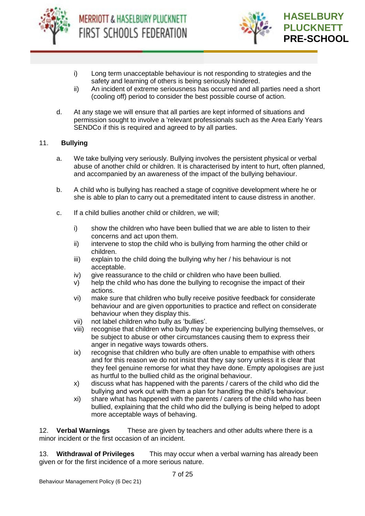



- i) Long term unacceptable behaviour is not responding to strategies and the safety and learning of others is being seriously hindered.
- ii) An incident of extreme seriousness has occurred and all parties need a short (cooling off) period to consider the best possible course of action.
- d. At any stage we will ensure that all parties are kept informed of situations and permission sought to involve a 'relevant professionals such as the Area Early Years SENDCo if this is required and agreed to by all parties.

#### 11. **Bullying**

- a. We take bullying very seriously. Bullying involves the persistent physical or verbal abuse of another child or children. It is characterised by intent to hurt, often planned, and accompanied by an awareness of the impact of the bullying behaviour.
- b. A child who is bullying has reached a stage of cognitive development where he or she is able to plan to carry out a premeditated intent to cause distress in another.
- c. If a child bullies another child or children, we will;
	- i) show the children who have been bullied that we are able to listen to their concerns and act upon them.
	- ii) intervene to stop the child who is bullying from harming the other child or children.
	- iii) explain to the child doing the bullying why her / his behaviour is not acceptable.
	- iv) give reassurance to the child or children who have been bullied.
	- v) help the child who has done the bullying to recognise the impact of their actions.
	- vi) make sure that children who bully receive positive feedback for considerate behaviour and are given opportunities to practice and reflect on considerate behaviour when they display this.
	- vii) not label children who bully as 'bullies'.
	- viii) recognise that children who bully may be experiencing bullying themselves, or be subject to abuse or other circumstances causing them to express their anger in negative ways towards others.
	- ix) recognise that children who bully are often unable to empathise with others and for this reason we do not insist that they say sorry unless it is clear that they feel genuine remorse for what they have done. Empty apologises are just as hurtful to the bullied child as the original behaviour.
	- x) discuss what has happened with the parents / carers of the child who did the bullying and work out with them a plan for handling the child's behaviour.
	- xi) share what has happened with the parents / carers of the child who has been bullied, explaining that the child who did the bullying is being helped to adopt more acceptable ways of behaving.

12. **Verbal Warnings** These are given by teachers and other adults where there is a minor incident or the first occasion of an incident.

13. **Withdrawal of Privileges** This may occur when a verbal warning has already been given or for the first incidence of a more serious nature.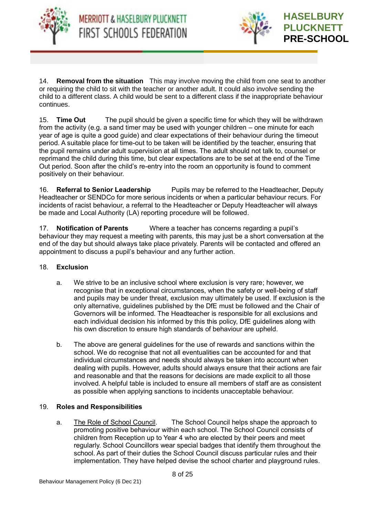



14. **Removal from the situation** This may involve moving the child from one seat to another or requiring the child to sit with the teacher or another adult. It could also involve sending the child to a different class. A child would be sent to a different class if the inappropriate behaviour continues.

15. **Time Out** The pupil should be given a specific time for which they will be withdrawn from the activity (e.g. a sand timer may be used with younger children – one minute for each year of age is quite a good guide) and clear expectations of their behaviour during the timeout period. A suitable place for time-out to be taken will be identified by the teacher, ensuring that the pupil remains under adult supervision at all times. The adult should not talk to, counsel or reprimand the child during this time, but clear expectations are to be set at the end of the Time Out period. Soon after the child's re-entry into the room an opportunity is found to comment positively on their behaviour.

16. **Referral to Senior Leadership** Pupils may be referred to the Headteacher, Deputy Headteacher or SENDCo for more serious incidents or when a particular behaviour recurs. For incidents of racist behaviour, a referral to the Headteacher or Deputy Headteacher will always be made and Local Authority (LA) reporting procedure will be followed.

17. **Notification of Parents** Where a teacher has concerns regarding a pupil's behaviour they may request a meeting with parents, this may just be a short conversation at the end of the day but should always take place privately. Parents will be contacted and offered an appointment to discuss a pupil's behaviour and any further action.

#### 18. **Exclusion**

- a. We strive to be an inclusive school where exclusion is very rare; however, we recognise that in exceptional circumstances, when the safety or well-being of staff and pupils may be under threat, exclusion may ultimately be used. If exclusion is the only alternative, guidelines published by the DfE must be followed and the Chair of Governors will be informed. The Headteacher is responsible for all exclusions and each individual decision his informed by this this policy, DfE guidelines along with his own discretion to ensure high standards of behaviour are upheld.
- b. The above are general guidelines for the use of rewards and sanctions within the school. We do recognise that not all eventualities can be accounted for and that individual circumstances and needs should always be taken into account when dealing with pupils. However, adults should always ensure that their actions are fair and reasonable and that the reasons for decisions are made explicit to all those involved. A helpful table is included to ensure all members of staff are as consistent as possible when applying sanctions to incidents unacceptable behaviour.

#### 19. **Roles and Responsibilities**

a. The Role of School Council. The School Council helps shape the approach to promoting positive behaviour within each school. The School Council consists of children from Reception up to Year 4 who are elected by their peers and meet regularly. School Councillors wear special badges that identify them throughout the school. As part of their duties the School Council discuss particular rules and their implementation. They have helped devise the school charter and playground rules.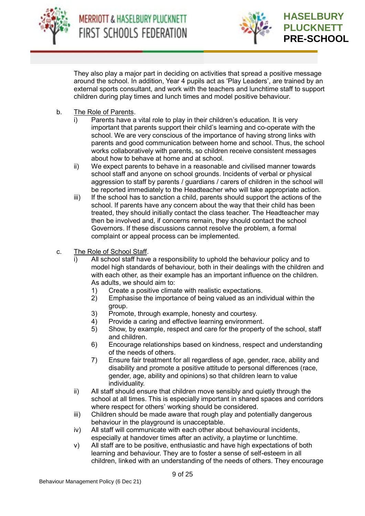



They also play a major part in deciding on activities that spread a positive message around the school. In addition, Year 4 pupils act as 'Play Leaders', are trained by an external sports consultant, and work with the teachers and lunchtime staff to support children during play times and lunch times and model positive behaviour.

- b. The Role of Parents.
	- i) Parents have a vital role to play in their children's education. It is very important that parents support their child's learning and co-operate with the school. We are very conscious of the importance of having strong links with parents and good communication between home and school. Thus, the school works collaboratively with parents, so children receive consistent messages about how to behave at home and at school.
	- ii) We expect parents to behave in a reasonable and civilised manner towards school staff and anyone on school grounds. Incidents of verbal or physical aggression to staff by parents / guardians / carers of children in the school will be reported immediately to the Headteacher who will take appropriate action.
	- iii) If the school has to sanction a child, parents should support the actions of the school. If parents have any concern about the way that their child has been treated, they should initially contact the class teacher. The Headteacher may then be involved and, if concerns remain, they should contact the school Governors. If these discussions cannot resolve the problem, a formal complaint or appeal process can be implemented.
- c. The Role of School Staff.
	- All school staff have a responsibility to uphold the behaviour policy and to model high standards of behaviour, both in their dealings with the children and with each other, as their example has an important influence on the children. As adults, we should aim to:
		- 1) Create a positive climate with realistic expectations.
		- 2) Emphasise the importance of being valued as an individual within the group.
		- 3) Promote, through example, honesty and courtesy.
		- 4) Provide a caring and effective learning environment.
		- 5) Show, by example, respect and care for the property of the school, staff and children.
		- 6) Encourage relationships based on kindness, respect and understanding of the needs of others.
		- 7) Ensure fair treatment for all regardless of age, gender, race, ability and disability and promote a positive attitude to personal differences (race, gender, age, ability and opinions) so that children learn to value individuality.
	- ii) All staff should ensure that children move sensibly and quietly through the school at all times. This is especially important in shared spaces and corridors where respect for others' working should be considered.
	- iii) Children should be made aware that rough play and potentially dangerous behaviour in the playground is unacceptable.
	- iv) All staff will communicate with each other about behavioural incidents, especially at handover times after an activity, a playtime or lunchtime.
	- v) All staff are to be positive, enthusiastic and have high expectations of both learning and behaviour. They are to foster a sense of self-esteem in all children, linked with an understanding of the needs of others. They encourage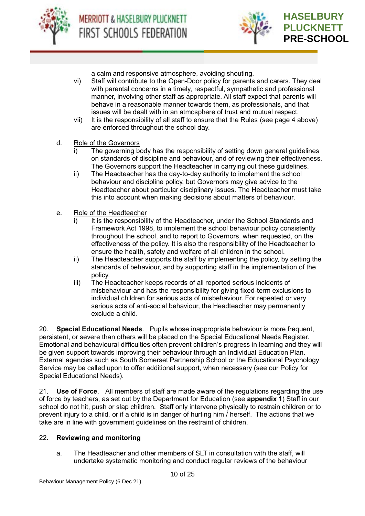



a calm and responsive atmosphere, avoiding shouting.

- vi) Staff will contribute to the Open-Door policy for parents and carers. They deal with parental concerns in a timely, respectful, sympathetic and professional manner, involving other staff as appropriate. All staff expect that parents will behave in a reasonable manner towards them, as professionals, and that issues will be dealt with in an atmosphere of trust and mutual respect.
- vii) It is the responsibility of all staff to ensure that the Rules (see page 4 above) are enforced throughout the school day.
- d. Role of the Governors
	- The governing body has the responsibility of setting down general guidelines on standards of discipline and behaviour, and of reviewing their effectiveness. The Governors support the Headteacher in carrying out these guidelines.
	- ii) The Headteacher has the day-to-day authority to implement the school behaviour and discipline policy, but Governors may give advice to the Headteacher about particular disciplinary issues. The Headteacher must take this into account when making decisions about matters of behaviour.
- e. Role of the Headteacher
	- i) It is the responsibility of the Headteacher, under the School Standards and Framework Act 1998, to implement the school behaviour policy consistently throughout the school, and to report to Governors, when requested, on the effectiveness of the policy. It is also the responsibility of the Headteacher to ensure the health, safety and welfare of all children in the school.
	- ii) The Headteacher supports the staff by implementing the policy, by setting the standards of behaviour, and by supporting staff in the implementation of the policy.
	- iii) The Headteacher keeps records of all reported serious incidents of misbehaviour and has the responsibility for giving fixed-term exclusions to individual children for serious acts of misbehaviour. For repeated or very serious acts of anti-social behaviour, the Headteacher may permanently exclude a child.

20. **Special Educational Needs**. Pupils whose inappropriate behaviour is more frequent, persistent, or severe than others will be placed on the Special Educational Needs Register. Emotional and behavioural difficulties often prevent children's progress in learning and they will be given support towards improving their behaviour through an Individual Education Plan. External agencies such as South Somerset Partnership School or the Educational Psychology Service may be called upon to offer additional support, when necessary (see our Policy for Special Educational Needs).

21. **Use of Force**. All members of staff are made aware of the regulations regarding the use of force by teachers, as set out by the Department for Education (see **appendix 1**) Staff in our school do not hit, push or slap children. Staff only intervene physically to restrain children or to prevent injury to a child, or if a child is in danger of hurting him / herself. The actions that we take are in line with government guidelines on the restraint of children.

#### 22. **Reviewing and monitoring**

a. The Headteacher and other members of SLT in consultation with the staff, will undertake systematic monitoring and conduct regular reviews of the behaviour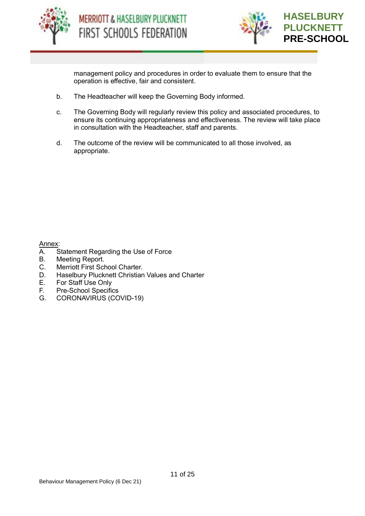



management policy and procedures in order to evaluate them to ensure that the operation is effective, fair and consistent.

- b. The Headteacher will keep the Governing Body informed.
- c. The Governing Body will regularly review this policy and associated procedures, to ensure its continuing appropriateness and effectiveness. The review will take place in consultation with the Headteacher, staff and parents.
- d. The outcome of the review will be communicated to all those involved, as appropriate.

Annex:

- A. Statement Regarding the Use of Force
- B. Meeting Report.
- C. Merriott First School Charter.
- D. Haselbury Plucknett Christian Values and Charter
- E. For Staff Use Only
- F. Pre-School Specifics
- G. CORONAVIRUS (COVID-19)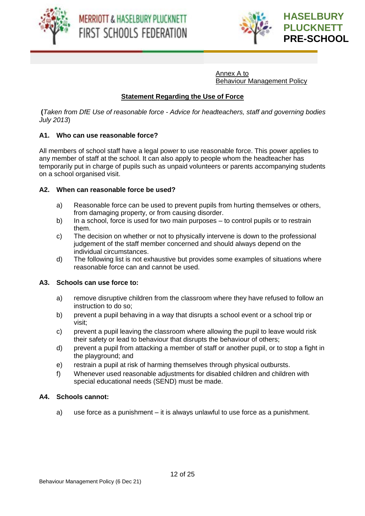



Annex A to Behaviour Management Policy

#### **Statement Regarding the Use of Force**

**(***Taken from DfE Use of reasonable force - Advice for headteachers, staff and governing bodies July 2013*)

#### **A1. Who can use reasonable force?**

All members of school staff have a legal power to use reasonable force. This power applies to any member of staff at the school. It can also apply to people whom the headteacher has temporarily put in charge of pupils such as unpaid volunteers or parents accompanying students on a school organised visit.

#### **A2. When can reasonable force be used?**

- a) Reasonable force can be used to prevent pupils from hurting themselves or others, from damaging property, or from causing disorder.
- b) In a school, force is used for two main purposes to control pupils or to restrain them.
- c) The decision on whether or not to physically intervene is down to the professional judgement of the staff member concerned and should always depend on the individual circumstances.
- d) The following list is not exhaustive but provides some examples of situations where reasonable force can and cannot be used.

#### **A3. Schools can use force to:**

- a) remove disruptive children from the classroom where they have refused to follow an instruction to do so;
- b) prevent a pupil behaving in a way that disrupts a school event or a school trip or visit;
- c) prevent a pupil leaving the classroom where allowing the pupil to leave would risk their safety or lead to behaviour that disrupts the behaviour of others;
- d) prevent a pupil from attacking a member of staff or another pupil, or to stop a fight in the playground; and
- e) restrain a pupil at risk of harming themselves through physical outbursts.
- f) Whenever used reasonable adjustments for disabled children and children with special educational needs (SEND) must be made.

#### **A4. Schools cannot:**

a) use force as a punishment – it is always unlawful to use force as a punishment.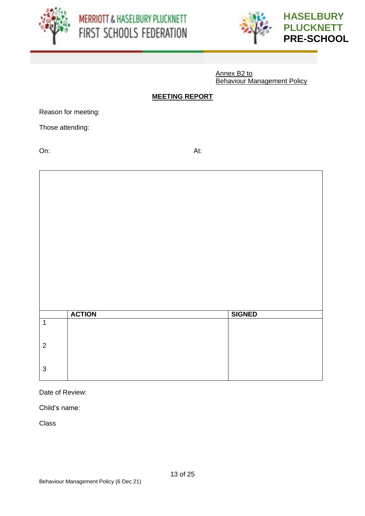





Annex B2 to Behaviour Management Policy

#### **MEETING REPORT**

Reason for meeting:

Those attending:

On: At:

|                | <b>ACTION</b> | <b>SIGNED</b> |
|----------------|---------------|---------------|
| $\mathbf{1}$   |               |               |
|                |               |               |
| $\overline{2}$ |               |               |
| $\mathfrak{S}$ |               |               |
|                |               |               |

Date of Review:

Child's name:

**Class**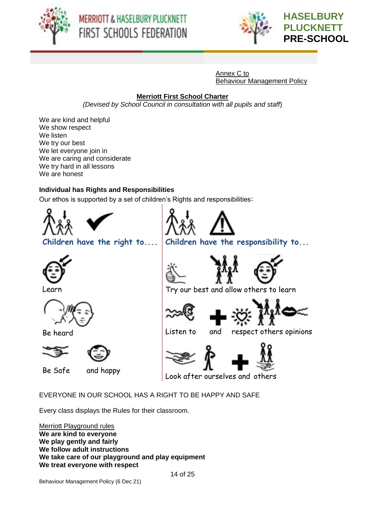





Annex C to Behaviour Management Policy

## **Merriott First School Charter**

*(Devised by School Council in consultation with all pupils and staff*)

We are kind and helpful We show respect We listen We try our best We let everyone join in We are caring and considerate We try hard in all lessons We are honest

## **Individual has Rights and Responsibilities**

Our ethos is supported by a set of children's Rights and responsibilities:



EVERYONE IN OUR SCHOOL HAS A RIGHT TO BE HAPPY AND SAFE

Every class displays the Rules for their classroom.

Merriott Playground rules **We are kind to everyone We play gently and fairly We follow adult instructions We take care of our playground and play equipment We treat everyone with respect**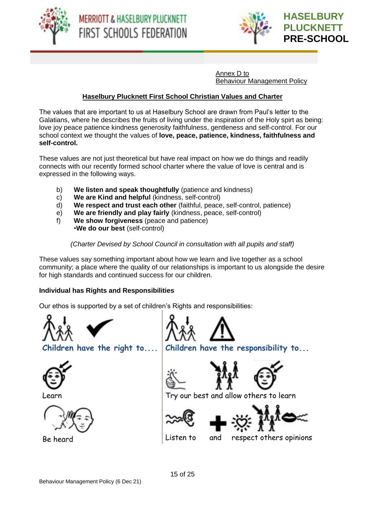





Annex D to Behaviour Management Policy

#### **Haselbury Plucknett First School Christian Values and Charter**

The values that are important to us at Haselbury School are drawn from Paul's letter to the Galatians, where he describes the fruits of living under the inspiration of the Holy spirt as being: love joy peace patience kindness generosity faithfulness, gentleness and self-control. For our school context we thought the values of **love, peace, patience, kindness, faithfulness and self-control.**

These values are not just theoretical but have real impact on how we do things and readily connects with our recently formed school charter where the value of love is central and is expressed in the following ways.

- b) **We listen and speak thoughtfully** (patience and kindness)
- c) **We are Kind and helpful** (kindness, self-control)
- d) **We respect and trust each other** (faithful, peace, self-control, patience)
- e) **We are friendly and play fairly** (kindness, peace, self-control)
- f) **We show forgiveness** (peace and patience) •**We do our best** (self-control)

*(Charter Devised by School Council in consultation with all pupils and staff)*

These values say something important about how we learn and live together as a school community; a place where the quality of our relationships is important to us alongside the desire for high standards and continued success for our children.

#### **Individual has Rights and Responsibilities**

Our ethos is supported by a set of children's Rights and responsibilities:









**Children have the right to.... Children have the responsibility to...**





Learn Try our best and allow others to learn





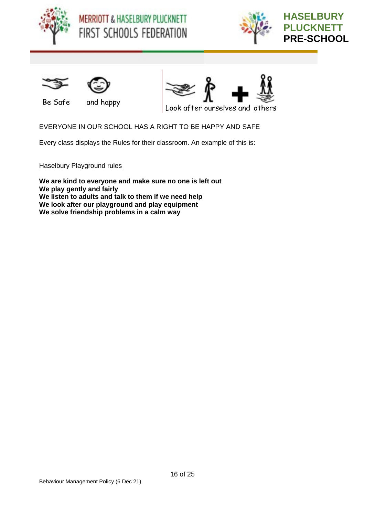









Be Safe and happy



Look after ourselves and others

EVERYONE IN OUR SCHOOL HAS A RIGHT TO BE HAPPY AND SAFE

Every class displays the Rules for their classroom. An example of this is:

Haselbury Playground rules

**We are kind to everyone and make sure no one is left out We play gently and fairly We listen to adults and talk to them if we need help We look after our playground and play equipment We solve friendship problems in a calm way**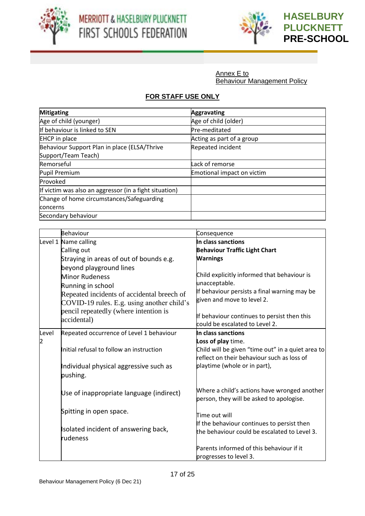



Annex E to Behaviour Management Policy

## **FOR STAFF USE ONLY**

| <b>Mitigating</b>                                      | <b>Aggravating</b>         |
|--------------------------------------------------------|----------------------------|
| Age of child (younger)                                 | Age of child (older)       |
| If behaviour is linked to SEN                          | Pre-meditated              |
| <b>EHCP</b> in place                                   | Acting as part of a group  |
| Behaviour Support Plan in place (ELSA/Thrive           | Repeated incident          |
| Support/Team Teach)                                    |                            |
| Remorseful                                             | Lack of remorse            |
| Pupil Premium                                          | Emotional impact on victim |
| Provoked                                               |                            |
| If victim was also an aggressor (in a fight situation) |                            |
| Change of home circumstances/Safeguarding              |                            |
| concerns                                               |                            |
| Secondary behaviour                                    |                            |

|       | <b>Behaviour</b>                                 | Consequence                                       |
|-------|--------------------------------------------------|---------------------------------------------------|
|       | Level 1 Name calling                             | In class sanctions                                |
|       | Calling out                                      | <b>Behaviour Traffic Light Chart</b>              |
|       | Straying in areas of out of bounds e.g.          | <b>Warnings</b>                                   |
|       | beyond playground lines                          |                                                   |
|       | <b>Minor Rudeness</b>                            | Child explicitly informed that behaviour is       |
|       | Running in school                                | unacceptable.                                     |
|       | Repeated incidents of accidental breech of       | If behaviour persists a final warning may be      |
|       | COVID-19 rules. E.g. using another child's       | given and move to level 2.                        |
|       | pencil repeatedly (where intention is            | If behaviour continues to persist then this       |
|       | accidental)                                      | could be escalated to Level 2.                    |
| Level | Repeated occurrence of Level 1 behaviour         | In class sanctions                                |
| 2     |                                                  | Loss of play time.                                |
|       | Initial refusal to follow an instruction         | Child will be given "time out" in a quiet area to |
|       |                                                  | reflect on their behaviour such as loss of        |
|       | Individual physical aggressive such as           | playtime (whole or in part),                      |
|       | pushing.                                         |                                                   |
|       |                                                  |                                                   |
|       | Use of inappropriate language (indirect)         | Where a child's actions have wronged another      |
|       |                                                  | person, they will be asked to apologise.          |
|       | Spitting in open space.                          |                                                   |
|       |                                                  | Time out will                                     |
|       | Isolated incident of answering back,<br>rudeness | If the behaviour continues to persist then        |
|       |                                                  | the behaviour could be escalated to Level 3.      |
|       |                                                  | Parents informed of this behaviour if it          |
|       |                                                  | progresses to level 3.                            |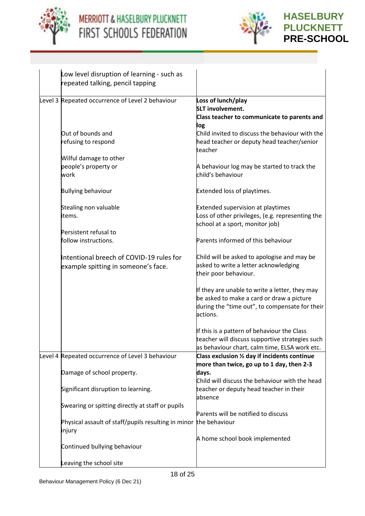



| Low level disruption of learning - such as<br>repeated talking, pencil tapping                                        |                                                                  |
|-----------------------------------------------------------------------------------------------------------------------|------------------------------------------------------------------|
|                                                                                                                       |                                                                  |
| Level 3 Repeated occurrence of Level 2 behaviour                                                                      | Loss of lunch/play<br><b>SLT involvement.</b>                    |
|                                                                                                                       | Class teacher to communicate to parents and                      |
|                                                                                                                       | log                                                              |
| Out of bounds and                                                                                                     | Child invited to discuss the behaviour with the                  |
| refusing to respond                                                                                                   | head teacher or deputy head teacher/senior<br>teacher            |
| Wilful damage to other                                                                                                |                                                                  |
| people's property or<br>work                                                                                          | A behaviour log may be started to track the<br>child's behaviour |
| <b>Bullying behaviour</b>                                                                                             | Extended loss of playtimes.                                      |
| Stealing non valuable                                                                                                 | <b>Extended supervision at playtimes</b>                         |
| items.                                                                                                                | Loss of other privileges, (e.g. representing the                 |
|                                                                                                                       | school at a sport, monitor job)                                  |
| Persistent refusal to                                                                                                 |                                                                  |
| follow instructions.                                                                                                  | Parents informed of this behaviour                               |
| Intentional breech of COVID-19 rules for                                                                              | Child will be asked to apologise and may be                      |
| example spitting in someone's face.                                                                                   | asked to write a letter acknowledging                            |
|                                                                                                                       | their poor behaviour.                                            |
|                                                                                                                       | If they are unable to write a letter, they may                   |
|                                                                                                                       | be asked to make a card or draw a picture                        |
|                                                                                                                       | during the "time out", to compensate for their                   |
|                                                                                                                       | actions.                                                         |
|                                                                                                                       | If this is a pattern of behaviour the Class                      |
|                                                                                                                       | teacher will discuss supportive strategies such                  |
|                                                                                                                       | as behaviour chart, calm time, ELSA work etc.                    |
| Level 4 Repeated occurrence of Level 3 behaviour                                                                      | Class exclusion 1/2 day if incidents continue                    |
|                                                                                                                       | more than twice, go up to 1 day, then 2-3                        |
| Damage of school property.                                                                                            | days.                                                            |
|                                                                                                                       | Child will discuss the behaviour with the head                   |
| Significant disruption to learning.                                                                                   | teacher or deputy head teacher in their                          |
|                                                                                                                       |                                                                  |
|                                                                                                                       |                                                                  |
|                                                                                                                       |                                                                  |
| injury                                                                                                                |                                                                  |
|                                                                                                                       | A home school book implemented                                   |
| Continued bullying behaviour                                                                                          |                                                                  |
|                                                                                                                       |                                                                  |
| Swearing or spitting directly at staff or pupils<br>Physical assault of staff/pupils resulting in minor the behaviour | absence<br>Parents will be notified to discuss                   |
| Leaving the school site                                                                                               |                                                                  |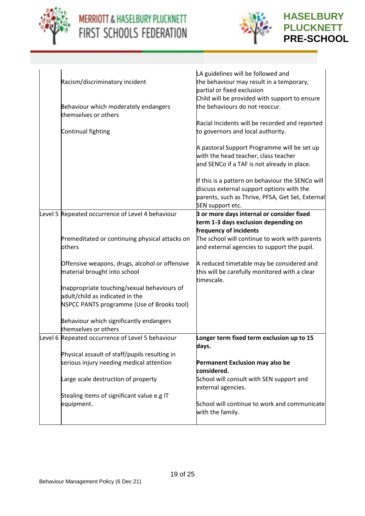



## **HASELBURY PLUCKNETT PRE-SCHOOL**

| Racism/discriminatory incident<br>Behaviour which moderately endangers                    | LA guidelines will be followed and<br>the behaviour may result in a temporary,<br>partial or fixed exclusion<br>Child will be provided with support to ensure<br>the behaviours do not reoccur. |
|-------------------------------------------------------------------------------------------|-------------------------------------------------------------------------------------------------------------------------------------------------------------------------------------------------|
| themselves or others                                                                      |                                                                                                                                                                                                 |
| Continual fighting                                                                        | Racial Incidents will be recorded and reported<br>to governors and local authority.                                                                                                             |
|                                                                                           | A pastoral Support Programme will be set up<br>with the head teacher, class teacher<br>and SENCo if a TAF is not already in place.                                                              |
|                                                                                           | If this is a pattern on behaviour the SENCo will<br>discuss external support options with the<br>parents, such as Thrive, PFSA, Get Set, External<br>SEN support etc.                           |
| Level 5 Repeated occurrence of Level 4 behaviour                                          | 3 or more days internal or consider fixed<br>term 1-3 days exclusion depending on<br>frequency of incidents                                                                                     |
| Premeditated or continuing physical attacks on<br>others                                  | The school will continue to work with parents<br>and external agencies to support the pupil.                                                                                                    |
| Offensive weapons, drugs, alcohol or offensive<br>material brought into school            | A reduced timetable may be considered and<br>this will be carefully monitored with a clear<br>timescale.                                                                                        |
| Inappropriate touching/sexual behaviours of                                               |                                                                                                                                                                                                 |
| adult/child as indicated in the                                                           |                                                                                                                                                                                                 |
| NSPCC PANTS programme (Use of Brooks tool)                                                |                                                                                                                                                                                                 |
| Behaviour which significantly endangers<br>themselves or others                           |                                                                                                                                                                                                 |
| Level 6 Repeated occurrence of Level 5 behaviour                                          | Longer term fixed term exclusion up to 15<br>days.                                                                                                                                              |
| Physical assault of staff/pupils resulting in<br>serious injury needing medical attention | Permanent Exclusion may also be<br>considered.                                                                                                                                                  |
| Large scale destruction of property                                                       | School will consult with SEN support and<br>external agencies.                                                                                                                                  |
| Stealing items of significant value e.g IT                                                |                                                                                                                                                                                                 |
| equipment.                                                                                | School will continue to work and communicate<br>with the family.                                                                                                                                |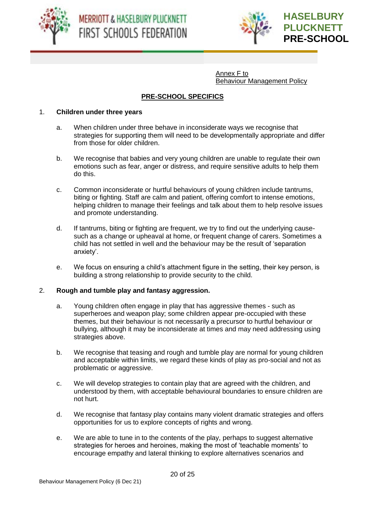



Annex F to Behaviour Management Policy

### **PRE-SCHOOL SPECIFICS**

#### 1. **Children under three years**

- a. When children under three behave in inconsiderate ways we recognise that strategies for supporting them will need to be developmentally appropriate and differ from those for older children.
- b. We recognise that babies and very young children are unable to regulate their own emotions such as fear, anger or distress, and require sensitive adults to help them do this.
- c. Common inconsiderate or hurtful behaviours of young children include tantrums, biting or fighting. Staff are calm and patient, offering comfort to intense emotions, helping children to manage their feelings and talk about them to help resolve issues and promote understanding.
- d. If tantrums, biting or fighting are frequent, we try to find out the underlying causesuch as a change or upheaval at home, or frequent change of carers. Sometimes a child has not settled in well and the behaviour may be the result of 'separation anxiety'.
- e. We focus on ensuring a child's attachment figure in the setting, their key person, is building a strong relationship to provide security to the child.

#### 2. **Rough and tumble play and fantasy aggression.**

- a. Young children often engage in play that has aggressive themes such as superheroes and weapon play; some children appear pre-occupied with these themes, but their behaviour is not necessarily a precursor to hurtful behaviour or bullying, although it may be inconsiderate at times and may need addressing using strategies above.
- b. We recognise that teasing and rough and tumble play are normal for young children and acceptable within limits, we regard these kinds of play as pro-social and not as problematic or aggressive.
- c. We will develop strategies to contain play that are agreed with the children, and understood by them, with acceptable behavioural boundaries to ensure children are not hurt.
- d. We recognise that fantasy play contains many violent dramatic strategies and offers opportunities for us to explore concepts of rights and wrong.
- e. We are able to tune in to the contents of the play, perhaps to suggest alternative strategies for heroes and heroines, making the most of 'teachable moments' to encourage empathy and lateral thinking to explore alternatives scenarios and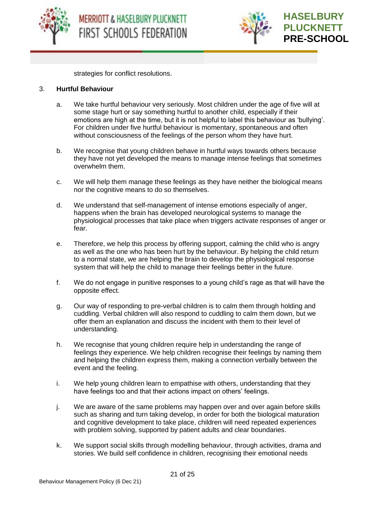



strategies for conflict resolutions.

#### 3. **Hurtful Behaviour**

- a. We take hurtful behaviour very seriously. Most children under the age of five will at some stage hurt or say something hurtful to another child, especially if their emotions are high at the time, but it is not helpful to label this behaviour as 'bullying'. For children under five hurtful behaviour is momentary, spontaneous and often without consciousness of the feelings of the person whom they have hurt.
- b. We recognise that young children behave in hurtful ways towards others because they have not yet developed the means to manage intense feelings that sometimes overwhelm them.
- c. We will help them manage these feelings as they have neither the biological means nor the cognitive means to do so themselves.
- d. We understand that self-management of intense emotions especially of anger, happens when the brain has developed neurological systems to manage the physiological processes that take place when triggers activate responses of anger or fear.
- e. Therefore, we help this process by offering support, calming the child who is angry as well as the one who has been hurt by the behaviour. By helping the child return to a normal state, we are helping the brain to develop the physiological response system that will help the child to manage their feelings better in the future.
- f. We do not engage in punitive responses to a young child's rage as that will have the opposite effect.
- g. Our way of responding to pre-verbal children is to calm them through holding and cuddling. Verbal children will also respond to cuddling to calm them down, but we offer them an explanation and discuss the incident with them to their level of understanding.
- h. We recognise that young children require help in understanding the range of feelings they experience. We help children recognise their feelings by naming them and helping the children express them, making a connection verbally between the event and the feeling.
- i. We help young children learn to empathise with others, understanding that they have feelings too and that their actions impact on others' feelings.
- j. We are aware of the same problems may happen over and over again before skills such as sharing and turn taking develop, in order for both the biological maturation and cognitive development to take place, children will need repeated experiences with problem solving, supported by patient adults and clear boundaries.
- k. We support social skills through modelling behaviour, through activities, drama and stories. We build self confidence in children, recognising their emotional needs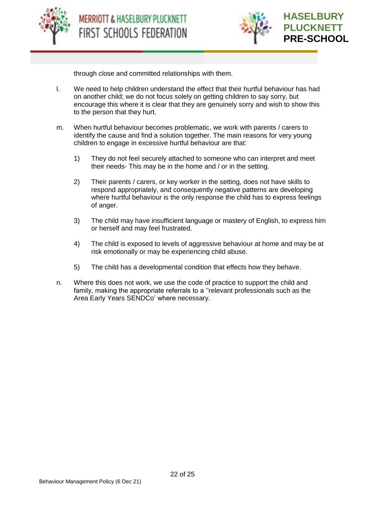





through close and committed relationships with them.

- l. We need to help children understand the effect that their hurtful behaviour has had on another child; we do not focus solely on getting children to say sorry, but encourage this where it is clear that they are genuinely sorry and wish to show this to the person that they hurt.
- m. When hurtful behaviour becomes problematic, we work with parents / carers to identify the cause and find a solution together. The main reasons for very young children to engage in excessive hurtful behaviour are that:
	- 1) They do not feel securely attached to someone who can interpret and meet their needs- This may be in the home and / or in the setting.
	- 2) Their parents / carers, or key worker in the setting, does not have skills to respond appropriately, and consequently negative patterns are developing where hurtful behaviour is the only response the child has to express feelings of anger.
	- 3) The child may have insufficient language or mastery of English, to express him or herself and may feel frustrated.
	- 4) The child is exposed to levels of aggressive behaviour at home and may be at risk emotionally or may be experiencing child abuse.
	- 5) The child has a developmental condition that effects how they behave.
- n. Where this does not work, we use the code of practice to support the child and family, making the appropriate referrals to a ''relevant professionals such as the Area Early Years SENDCo' where necessary.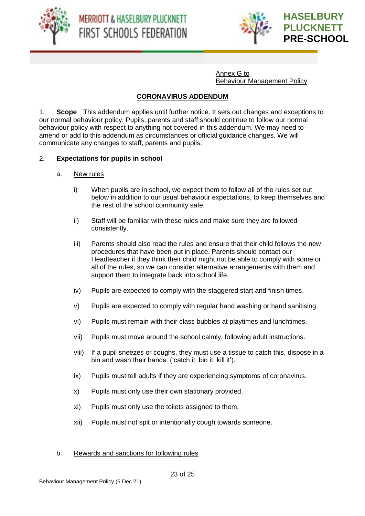





Annex G to Behaviour Management Policy

#### **CORONAVIRUS ADDENDUM**

1. **Scope** This addendum applies until further notice. It sets out changes and exceptions to our normal behaviour policy. Pupils, parents and staff should continue to follow our normal behaviour policy with respect to anything not covered in this addendum. We may need to amend or add to this addendum as circumstances or official guidance changes. We will communicate any changes to staff, parents and pupils.

#### 2. **Expectations for pupils in school**

- a. New rules
	- i) When pupils are in school, we expect them to follow all of the rules set out below in addition to our usual behaviour expectations, to keep themselves and the rest of the school community safe.
	- ii) Staff will be familiar with these rules and make sure they are followed consistently.
	- iii) Parents should also read the rules and ensure that their child follows the new procedures that have been put in place. Parents should contact our Headteacher if they think their child might not be able to comply with some or all of the rules, so we can consider alternative arrangements with them and support them to integrate back into school life.
	- iv) Pupils are expected to comply with the staggered start and finish times.
	- v) Pupils are expected to comply with regular hand washing or hand sanitising.
	- vi) Pupils must remain with their class bubbles at playtimes and lunchtimes.
	- vii) Pupils must move around the school calmly, following adult instructions.
	- viii) If a pupil sneezes or coughs, they must use a tissue to catch this, dispose in a bin and wash their hands. ('catch it, bin it, kill it').
	- ix) Pupils must tell adults if they are experiencing symptoms of coronavirus.
	- x) Pupils must only use their own stationary provided.
	- xi) Pupils must only use the toilets assigned to them.
	- xii) Pupils must not spit or intentionally cough towards someone.

#### b. Rewards and sanctions for following rules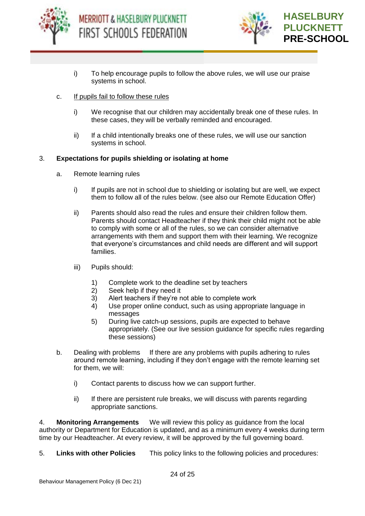



- i) To help encourage pupils to follow the above rules, we will use our praise systems in school.
- c. If pupils fail to follow these rules
	- i) We recognise that our children may accidentally break one of these rules. In these cases, they will be verbally reminded and encouraged.
	- ii) If a child intentionally breaks one of these rules, we will use our sanction systems in school.

#### 3. **Expectations for pupils shielding or isolating at home**

- a. Remote learning rules
	- i) If pupils are not in school due to shielding or isolating but are well, we expect them to follow all of the rules below. (see also our Remote Education Offer)
	- ii) Parents should also read the rules and ensure their children follow them. Parents should contact Headteacher if they think their child might not be able to comply with some or all of the rules, so we can consider alternative arrangements with them and support them with their learning. We recognize that everyone's circumstances and child needs are different and will support families.
	- iii) Pupils should:
		- 1) Complete work to the deadline set by teachers
		- 2) Seek help if they need it
		- 3) Alert teachers if they're not able to complete work
		- 4) Use proper online conduct, such as using appropriate language in messages
		- 5) During live catch-up sessions, pupils are expected to behave appropriately. (See our live session guidance for specific rules regarding these sessions)
- b. Dealing with problems If there are any problems with pupils adhering to rules around remote learning, including if they don't engage with the remote learning set for them, we will:
	- i) Contact parents to discuss how we can support further.
	- ii) If there are persistent rule breaks, we will discuss with parents regarding appropriate sanctions.

4. **Monitoring Arrangements** We will review this policy as guidance from the local authority or Department for Education is updated, and as a minimum every 4 weeks during term time by our Headteacher. At every review, it will be approved by the full governing board.

5. **Links with other Policies** This policy links to the following policies and procedures: